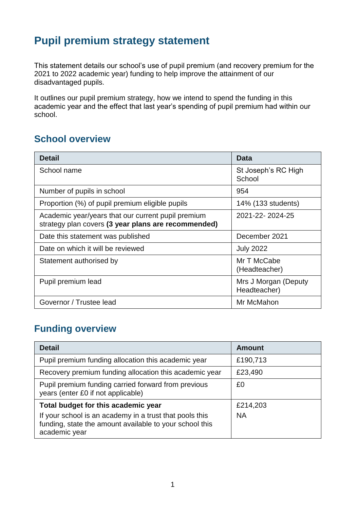# **Pupil premium strategy statement**

This statement details our school's use of pupil premium (and recovery premium for the 2021 to 2022 academic year) funding to help improve the attainment of our disadvantaged pupils.

It outlines our pupil premium strategy, how we intend to spend the funding in this academic year and the effect that last year's spending of pupil premium had within our school.

#### **School overview**

| <b>Detail</b>                                                                                             | <b>Data</b>                          |
|-----------------------------------------------------------------------------------------------------------|--------------------------------------|
| School name                                                                                               | St Joseph's RC High<br>School        |
| Number of pupils in school                                                                                | 954                                  |
| Proportion (%) of pupil premium eligible pupils                                                           | 14% (133 students)                   |
| Academic year/years that our current pupil premium<br>strategy plan covers (3 year plans are recommended) | 2021-22-2024-25                      |
| Date this statement was published                                                                         | December 2021                        |
| Date on which it will be reviewed                                                                         | <b>July 2022</b>                     |
| Statement authorised by                                                                                   | Mr T McCabe<br>(Headteacher)         |
| Pupil premium lead                                                                                        | Mrs J Morgan (Deputy<br>Headteacher) |
| Governor / Trustee lead                                                                                   | Mr McMahon                           |

#### **Funding overview**

| <b>Detail</b>                                                                                                                       | <b>Amount</b> |
|-------------------------------------------------------------------------------------------------------------------------------------|---------------|
| Pupil premium funding allocation this academic year                                                                                 | £190,713      |
| Recovery premium funding allocation this academic year                                                                              | £23,490       |
| Pupil premium funding carried forward from previous<br>years (enter £0 if not applicable)                                           | £0            |
| Total budget for this academic year                                                                                                 | £214,203      |
| If your school is an academy in a trust that pools this<br>funding, state the amount available to your school this<br>academic year | <b>NA</b>     |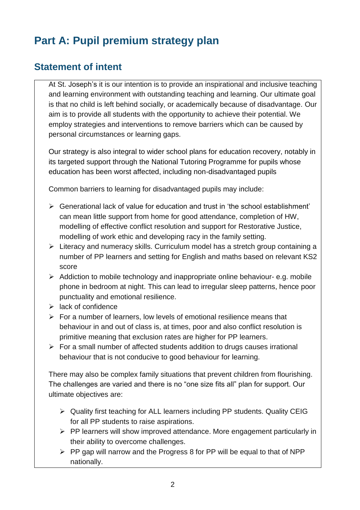# **Part A: Pupil premium strategy plan**

#### **Statement of intent**

At St. Joseph's it is our intention is to provide an inspirational and inclusive teaching and learning environment with outstanding teaching and learning. Our ultimate goal is that no child is left behind socially, or academically because of disadvantage. Our aim is to provide all students with the opportunity to achieve their potential. We employ strategies and interventions to remove barriers which can be caused by personal circumstances or learning gaps.

Our strategy is also integral to wider school plans for education recovery, notably in its targeted support through the National Tutoring Programme for pupils whose education has been worst affected, including non-disadvantaged pupils

Common barriers to learning for disadvantaged pupils may include:

- $\triangleright$  Generational lack of value for education and trust in 'the school establishment' can mean little support from home for good attendance, completion of HW, modelling of effective conflict resolution and support for Restorative Justice, modelling of work ethic and developing racy in the family setting.
- $\triangleright$  Literacy and numeracy skills. Curriculum model has a stretch group containing a number of PP learners and setting for English and maths based on relevant KS2 score
- $\triangleright$  Addiction to mobile technology and inappropriate online behaviour- e.g. mobile phone in bedroom at night. This can lead to irregular sleep patterns, hence poor punctuality and emotional resilience.
- $\triangleright$  lack of confidence
- $\triangleright$  For a number of learners, low levels of emotional resilience means that behaviour in and out of class is, at times, poor and also conflict resolution is primitive meaning that exclusion rates are higher for PP learners.
- $\triangleright$  For a small number of affected students addition to drugs causes irrational behaviour that is not conducive to good behaviour for learning.

There may also be complex family situations that prevent children from flourishing. The challenges are varied and there is no "one size fits all" plan for support. Our ultimate objectives are:

- Quality first teaching for ALL learners including PP students. Quality CEIG for all PP students to raise aspirations.
- $\triangleright$  PP learners will show improved attendance. More engagement particularly in their ability to overcome challenges.
- $\triangleright$  PP gap will narrow and the Progress 8 for PP will be equal to that of NPP nationally.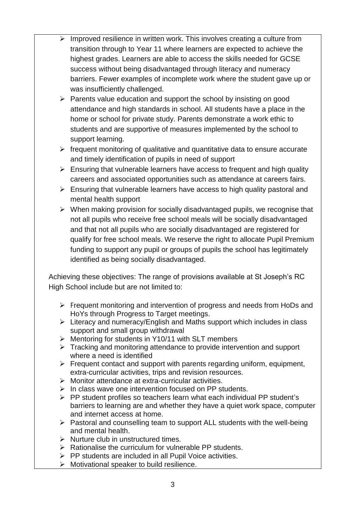- $\triangleright$  Improved resilience in written work. This involves creating a culture from transition through to Year 11 where learners are expected to achieve the highest grades. Learners are able to access the skills needed for GCSE success without being disadvantaged through literacy and numeracy barriers. Fewer examples of incomplete work where the student gave up or was insufficiently challenged.
- $\triangleright$  Parents value education and support the school by insisting on good attendance and high standards in school. All students have a place in the home or school for private study. Parents demonstrate a work ethic to students and are supportive of measures implemented by the school to support learning.
- $\triangleright$  frequent monitoring of qualitative and quantitative data to ensure accurate and timely identification of pupils in need of support
- $\triangleright$  Ensuring that vulnerable learners have access to frequent and high quality careers and associated opportunities such as attendance at careers fairs.
- $\triangleright$  Ensuring that vulnerable learners have access to high quality pastoral and mental health support
- $\triangleright$  When making provision for socially disadvantaged pupils, we recognise that not all pupils who receive free school meals will be socially disadvantaged and that not all pupils who are socially disadvantaged are registered for qualify for free school meals. We reserve the right to allocate Pupil Premium funding to support any pupil or groups of pupils the school has legitimately identified as being socially disadvantaged.

Achieving these objectives: The range of provisions available at St Joseph's RC High School include but are not limited to:

- $\triangleright$  Frequent monitoring and intervention of progress and needs from HoDs and HoYs through Progress to Target meetings.
- $\triangleright$  Literacy and numeracy/English and Maths support which includes in class support and small group withdrawal
- Mentoring for students in Y10/11 with SLT members
- $\triangleright$  Tracking and monitoring attendance to provide intervention and support where a need is identified
- $\triangleright$  Frequent contact and support with parents regarding uniform, equipment, extra-curricular activities, trips and revision resources.
- Monitor attendance at extra-curricular activities.
- $\triangleright$  In class wave one intervention focused on PP students.
- $\triangleright$  PP student profiles so teachers learn what each individual PP student's barriers to learning are and whether they have a quiet work space, computer and internet access at home.
- $\triangleright$  Pastoral and counselling team to support ALL students with the well-being and mental health.
- $\triangleright$  Nurture club in unstructured times.
- $\triangleright$  Rationalise the curriculum for vulnerable PP students.
- $\triangleright$  PP students are included in all Pupil Voice activities.
- $\triangleright$  Motivational speaker to build resilience.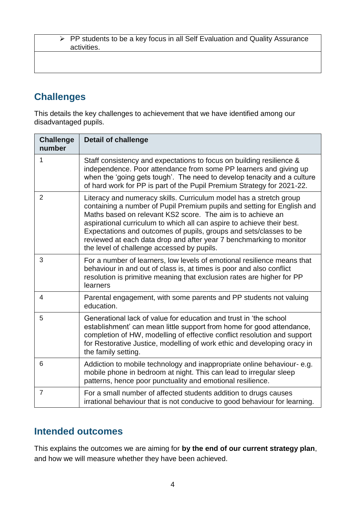PP students to be a key focus in all Self Evaluation and Quality Assurance activities.

#### **Challenges**

This details the key challenges to achievement that we have identified among our disadvantaged pupils.

| <b>Challenge</b><br>number | <b>Detail of challenge</b>                                                                                                                                                                                                                                                                                                                                                                                                                                                        |
|----------------------------|-----------------------------------------------------------------------------------------------------------------------------------------------------------------------------------------------------------------------------------------------------------------------------------------------------------------------------------------------------------------------------------------------------------------------------------------------------------------------------------|
| 1                          | Staff consistency and expectations to focus on building resilience &<br>independence. Poor attendance from some PP learners and giving up<br>when the 'going gets tough'. The need to develop tenacity and a culture<br>of hard work for PP is part of the Pupil Premium Strategy for 2021-22.                                                                                                                                                                                    |
| $\overline{2}$             | Literacy and numeracy skills. Curriculum model has a stretch group<br>containing a number of Pupil Premium pupils and setting for English and<br>Maths based on relevant KS2 score. The aim is to achieve an<br>aspirational curriculum to which all can aspire to achieve their best.<br>Expectations and outcomes of pupils, groups and sets/classes to be<br>reviewed at each data drop and after year 7 benchmarking to monitor<br>the level of challenge accessed by pupils. |
| 3                          | For a number of learners, low levels of emotional resilience means that<br>behaviour in and out of class is, at times is poor and also conflict<br>resolution is primitive meaning that exclusion rates are higher for PP<br>learners                                                                                                                                                                                                                                             |
| 4                          | Parental engagement, with some parents and PP students not valuing<br>education.                                                                                                                                                                                                                                                                                                                                                                                                  |
| 5                          | Generational lack of value for education and trust in 'the school<br>establishment' can mean little support from home for good attendance,<br>completion of HW, modelling of effective conflict resolution and support<br>for Restorative Justice, modelling of work ethic and developing oracy in<br>the family setting.                                                                                                                                                         |
| 6                          | Addiction to mobile technology and inappropriate online behaviour-e.g.<br>mobile phone in bedroom at night. This can lead to irregular sleep<br>patterns, hence poor punctuality and emotional resilience.                                                                                                                                                                                                                                                                        |
| $\overline{7}$             | For a small number of affected students addition to drugs causes<br>irrational behaviour that is not conducive to good behaviour for learning.                                                                                                                                                                                                                                                                                                                                    |

#### **Intended outcomes**

This explains the outcomes we are aiming for **by the end of our current strategy plan**, and how we will measure whether they have been achieved.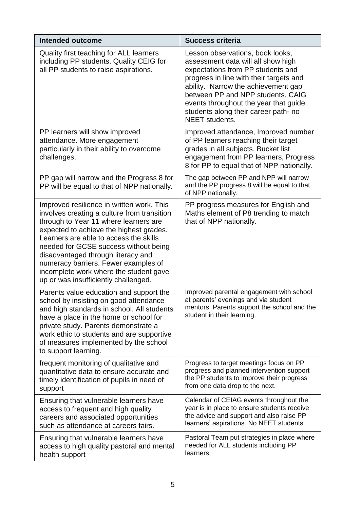| <b>Intended outcome</b>                                                                                                                                                                                                                                                                                                                                                                                                         | <b>Success criteria</b>                                                                                                                                                                                                                                                                                                                      |
|---------------------------------------------------------------------------------------------------------------------------------------------------------------------------------------------------------------------------------------------------------------------------------------------------------------------------------------------------------------------------------------------------------------------------------|----------------------------------------------------------------------------------------------------------------------------------------------------------------------------------------------------------------------------------------------------------------------------------------------------------------------------------------------|
| Quality first teaching for ALL learners<br>including PP students. Quality CEIG for<br>all PP students to raise aspirations.                                                                                                                                                                                                                                                                                                     | Lesson observations, book looks,<br>assessment data will all show high<br>expectations from PP students and<br>progress in line with their targets and<br>ability. Narrow the achievement gap<br>between PP and NPP students. CAIG<br>events throughout the year that guide<br>students along their career path- no<br><b>NEET</b> students. |
| PP learners will show improved<br>attendance. More engagement<br>particularly in their ability to overcome<br>challenges.                                                                                                                                                                                                                                                                                                       | Improved attendance, Improved number<br>of PP learners reaching their target<br>grades in all subjects. Bucket list<br>engagement from PP learners, Progress<br>8 for PP to equal that of NPP nationally.                                                                                                                                    |
| PP gap will narrow and the Progress 8 for<br>PP will be equal to that of NPP nationally.                                                                                                                                                                                                                                                                                                                                        | The gap between PP and NPP will narrow<br>and the PP progress 8 will be equal to that<br>of NPP nationally.                                                                                                                                                                                                                                  |
| Improved resilience in written work. This<br>involves creating a culture from transition<br>through to Year 11 where learners are<br>expected to achieve the highest grades.<br>Learners are able to access the skills<br>needed for GCSE success without being<br>disadvantaged through literacy and<br>numeracy barriers. Fewer examples of<br>incomplete work where the student gave<br>up or was insufficiently challenged. | PP progress measures for English and<br>Maths element of P8 trending to match<br>that of NPP nationally.                                                                                                                                                                                                                                     |
| Parents value education and support the<br>school by insisting on good attendance<br>and high standards in school. All students<br>have a place in the home or school for<br>private study. Parents demonstrate a<br>work ethic to students and are supportive<br>of measures implemented by the school<br>to support learning.                                                                                                 | Improved parental engagement with school<br>at parents' evenings and via student<br>mentors. Parents support the school and the<br>student in their learning.                                                                                                                                                                                |
| frequent monitoring of qualitative and<br>quantitative data to ensure accurate and<br>timely identification of pupils in need of<br>support                                                                                                                                                                                                                                                                                     | Progress to target meetings focus on PP<br>progress and planned intervention support<br>the PP students to improve their progress<br>from one data drop to the next.                                                                                                                                                                         |
| Ensuring that vulnerable learners have<br>access to frequent and high quality<br>careers and associated opportunities<br>such as attendance at careers fairs.                                                                                                                                                                                                                                                                   | Calendar of CEIAG events throughout the<br>year is in place to ensure students receive<br>the advice and support and also raise PP<br>learners' aspirations. No NEET students.                                                                                                                                                               |
| Ensuring that vulnerable learners have<br>access to high quality pastoral and mental<br>health support                                                                                                                                                                                                                                                                                                                          | Pastoral Team put strategies in place where<br>needed for ALL students including PP<br>learners.                                                                                                                                                                                                                                             |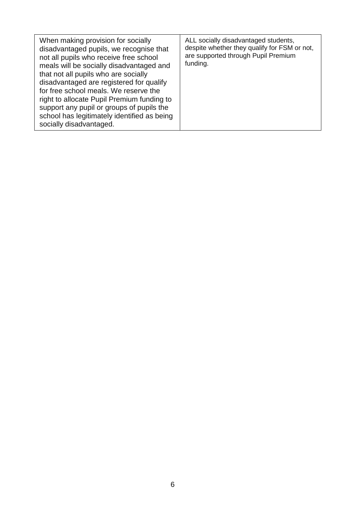| When making provision for socially<br>disadvantaged pupils, we recognise that<br>not all pupils who receive free school<br>meals will be socially disadvantaged and<br>that not all pupils who are socially<br>disadvantaged are registered for qualify<br>for free school meals. We reserve the<br>right to allocate Pupil Premium funding to<br>support any pupil or groups of pupils the<br>school has legitimately identified as being<br>socially disadvantaged. | ALL socially disadvantaged students,<br>despite whether they qualify for FSM or not,<br>are supported through Pupil Premium<br>funding. |
|-----------------------------------------------------------------------------------------------------------------------------------------------------------------------------------------------------------------------------------------------------------------------------------------------------------------------------------------------------------------------------------------------------------------------------------------------------------------------|-----------------------------------------------------------------------------------------------------------------------------------------|
|-----------------------------------------------------------------------------------------------------------------------------------------------------------------------------------------------------------------------------------------------------------------------------------------------------------------------------------------------------------------------------------------------------------------------------------------------------------------------|-----------------------------------------------------------------------------------------------------------------------------------------|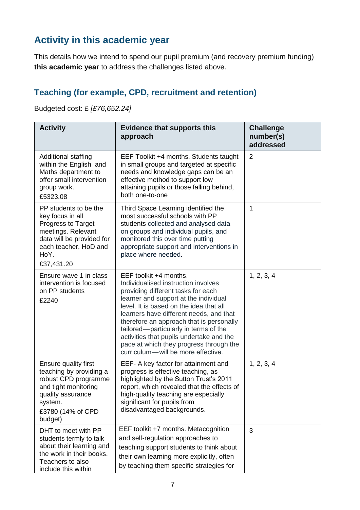## **Activity in this academic year**

This details how we intend to spend our pupil premium (and recovery premium funding) **this academic year** to address the challenges listed above.

### **Teaching (for example, CPD, recruitment and retention)**

Budgeted cost: £ *[£76,652.24]*

| <b>Activity</b>                                                                                                                                                        | <b>Evidence that supports this</b><br>approach                                                                                                                                                                                                                                                                                                                                                                                                       | <b>Challenge</b><br>number(s)<br>addressed |
|------------------------------------------------------------------------------------------------------------------------------------------------------------------------|------------------------------------------------------------------------------------------------------------------------------------------------------------------------------------------------------------------------------------------------------------------------------------------------------------------------------------------------------------------------------------------------------------------------------------------------------|--------------------------------------------|
| Additional staffing<br>within the English and<br>Maths department to<br>offer small intervention<br>group work.<br>£5323.08                                            | EEF Toolkit +4 months. Students taught<br>in small groups and targeted at specific<br>needs and knowledge gaps can be an<br>effective method to support low<br>attaining pupils or those falling behind,<br>both one-to-one                                                                                                                                                                                                                          | 2                                          |
| PP students to be the<br>key focus in all<br>Progress to Target<br>meetings. Relevant<br>data will be provided for<br>each teacher, HoD and<br>HoY.<br>£37,431.20      | Third Space Learning identified the<br>most successful schools with PP<br>students collected and analysed data<br>on groups and individual pupils, and<br>monitored this over time putting<br>appropriate support and interventions in<br>place where needed.                                                                                                                                                                                        | $\mathbf{1}$                               |
| Ensure wave 1 in class<br>intervention is focused<br>on PP students<br>£2240                                                                                           | EEF toolkit +4 months.<br>Individualised instruction involves<br>providing different tasks for each<br>learner and support at the individual<br>level. It is based on the idea that all<br>learners have different needs, and that<br>therefore an approach that is personally<br>tailored—particularly in terms of the<br>activities that pupils undertake and the<br>pace at which they progress through the<br>curriculum-will be more effective. | 1, 2, 3, 4                                 |
| <b>Ensure quality first</b><br>teaching by providing a<br>robust CPD programme<br>and tight monitoring<br>quality assurance<br>system.<br>£3780 (14% of CPD<br>budget) | EEF- A key factor for attainment and<br>progress is effective teaching, as<br>highlighted by the Sutton Trust's 2011<br>report, which revealed that the effects of<br>high-quality teaching are especially<br>significant for pupils from<br>disadvantaged backgrounds.                                                                                                                                                                              | 1, 2, 3, 4                                 |
| DHT to meet with PP<br>students termly to talk<br>about their learning and<br>the work in their books.<br>Teachers to also<br>include this within                      | EEF toolkit +7 months. Metacognition<br>and self-regulation approaches to<br>teaching support students to think about<br>their own learning more explicitly, often<br>by teaching them specific strategies for                                                                                                                                                                                                                                       | 3                                          |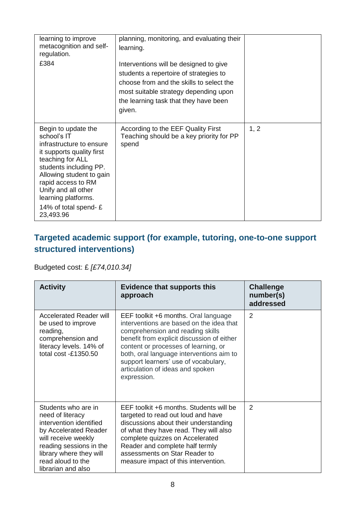| learning to improve<br>metacognition and self-<br>regulation.<br>£384                                                                                                                                                                                                          | planning, monitoring, and evaluating their<br>learning.<br>Interventions will be designed to give<br>students a repertoire of strategies to<br>choose from and the skills to select the<br>most suitable strategy depending upon<br>the learning task that they have been<br>given. |      |
|--------------------------------------------------------------------------------------------------------------------------------------------------------------------------------------------------------------------------------------------------------------------------------|-------------------------------------------------------------------------------------------------------------------------------------------------------------------------------------------------------------------------------------------------------------------------------------|------|
| Begin to update the<br>school's IT<br>infrastructure to ensure<br>it supports quality first<br>teaching for ALL<br>students including PP.<br>Allowing student to gain<br>rapid access to RM<br>Unify and all other<br>learning platforms.<br>14% of total spend-£<br>23,493.96 | According to the EEF Quality First<br>Teaching should be a key priority for PP<br>spend                                                                                                                                                                                             | 1, 2 |

#### **Targeted academic support (for example, tutoring, one-to-one support structured interventions)**

Budgeted cost: £ *[£74,010.34]*

| <b>Activity</b>                                                                                                                                                                                                     | <b>Evidence that supports this</b><br>approach                                                                                                                                                                                                                                                                                                    | <b>Challenge</b><br>number(s)<br>addressed |
|---------------------------------------------------------------------------------------------------------------------------------------------------------------------------------------------------------------------|---------------------------------------------------------------------------------------------------------------------------------------------------------------------------------------------------------------------------------------------------------------------------------------------------------------------------------------------------|--------------------------------------------|
| <b>Accelerated Reader will</b><br>be used to improve<br>reading,<br>comprehension and<br>literacy levels. 14% of<br>total cost -£1350.50                                                                            | EEF toolkit +6 months. Oral language<br>interventions are based on the idea that<br>comprehension and reading skills<br>benefit from explicit discussion of either<br>content or processes of learning, or<br>both, oral language interventions aim to<br>support learners' use of vocabulary,<br>articulation of ideas and spoken<br>expression. | $\overline{2}$                             |
| Students who are in<br>need of literacy<br>intervention identified<br>by Accelerated Reader<br>will receive weekly<br>reading sessions in the<br>library where they will<br>read aloud to the<br>librarian and also | EEF toolkit +6 months. Students will be<br>targeted to read out loud and have<br>discussions about their understanding<br>of what they have read. They will also<br>complete quizzes on Accelerated<br>Reader and complete half termly<br>assessments on Star Reader to<br>measure impact of this intervention.                                   | 2                                          |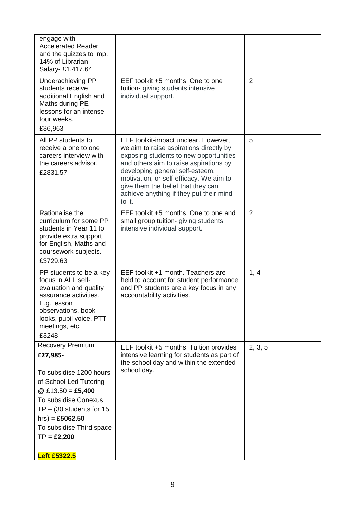| $\overline{2}$<br>EEF toolkit +5 months. One to one<br>Underachieving PP<br>students receive<br>tuition- giving students intensive<br>additional English and<br>individual support.<br>Maths during PE<br>lessons for an intense<br>four weeks.<br>£36,963<br>5<br>All PP students to<br>EEF toolkit-impact unclear. However,<br>we aim to raise aspirations directly by<br>receive a one to one<br>exposing students to new opportunities<br>careers interview with<br>and others aim to raise aspirations by<br>the careers advisor.<br>developing general self-esteem,<br>£2831.57<br>motivation, or self-efficacy. We aim to<br>give them the belief that they can<br>achieve anything if they put their mind<br>to it.<br>Rationalise the<br>EEF toolkit +5 months. One to one and<br>2<br>curriculum for some PP<br>small group tuition- giving students<br>students in Year 11 to<br>intensive individual support.<br>provide extra support<br>for English, Maths and<br>coursework subjects.<br>£3729.63<br>EEF toolkit +1 month. Teachers are<br>1, 4<br>PP students to be a key<br>focus in ALL self-<br>held to account for student performance<br>evaluation and quality<br>and PP students are a key focus in any<br>assurance activities.<br>accountability activities.<br>E.g. lesson<br>observations, book<br>looks, pupil voice, PTT<br>meetings, etc.<br>£3248<br><b>Recovery Premium</b><br>2, 3, 5<br>EEF toolkit +5 months. Tuition provides<br>intensive learning for students as part of<br>£27,985-<br>the school day and within the extended<br>school day.<br>To subsidise 1200 hours<br>of School Led Tutoring<br>@ £13.50 = £5,400<br>To subsidise Conexus<br>$TP - (30$ students for 15<br>hrs) = £5062.50<br>To subsidise Third space | engage with<br><b>Accelerated Reader</b><br>and the quizzes to imp.<br>14% of Librarian<br>Salary- £1,417.64 |  |
|---------------------------------------------------------------------------------------------------------------------------------------------------------------------------------------------------------------------------------------------------------------------------------------------------------------------------------------------------------------------------------------------------------------------------------------------------------------------------------------------------------------------------------------------------------------------------------------------------------------------------------------------------------------------------------------------------------------------------------------------------------------------------------------------------------------------------------------------------------------------------------------------------------------------------------------------------------------------------------------------------------------------------------------------------------------------------------------------------------------------------------------------------------------------------------------------------------------------------------------------------------------------------------------------------------------------------------------------------------------------------------------------------------------------------------------------------------------------------------------------------------------------------------------------------------------------------------------------------------------------------------------------------------------------------------------------------------------------------------------------------------------------|--------------------------------------------------------------------------------------------------------------|--|
|                                                                                                                                                                                                                                                                                                                                                                                                                                                                                                                                                                                                                                                                                                                                                                                                                                                                                                                                                                                                                                                                                                                                                                                                                                                                                                                                                                                                                                                                                                                                                                                                                                                                                                                                                                     |                                                                                                              |  |
|                                                                                                                                                                                                                                                                                                                                                                                                                                                                                                                                                                                                                                                                                                                                                                                                                                                                                                                                                                                                                                                                                                                                                                                                                                                                                                                                                                                                                                                                                                                                                                                                                                                                                                                                                                     |                                                                                                              |  |
|                                                                                                                                                                                                                                                                                                                                                                                                                                                                                                                                                                                                                                                                                                                                                                                                                                                                                                                                                                                                                                                                                                                                                                                                                                                                                                                                                                                                                                                                                                                                                                                                                                                                                                                                                                     |                                                                                                              |  |
|                                                                                                                                                                                                                                                                                                                                                                                                                                                                                                                                                                                                                                                                                                                                                                                                                                                                                                                                                                                                                                                                                                                                                                                                                                                                                                                                                                                                                                                                                                                                                                                                                                                                                                                                                                     |                                                                                                              |  |
| $TP = £2,200$<br><b>Left £5322.5</b>                                                                                                                                                                                                                                                                                                                                                                                                                                                                                                                                                                                                                                                                                                                                                                                                                                                                                                                                                                                                                                                                                                                                                                                                                                                                                                                                                                                                                                                                                                                                                                                                                                                                                                                                |                                                                                                              |  |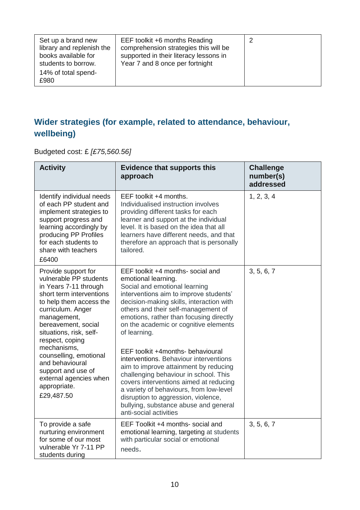| Set up a brand new<br>library and replenish the<br>books available for<br>students to borrow. | EEF toolkit +6 months Reading<br>comprehension strategies this will be<br>supported in their literacy lessons in<br>Year 7 and 8 once per fortnight | 2 |
|-----------------------------------------------------------------------------------------------|-----------------------------------------------------------------------------------------------------------------------------------------------------|---|
| 14% of total spend-<br>£980                                                                   |                                                                                                                                                     |   |

#### **Wider strategies (for example, related to attendance, behaviour, wellbeing)**

Budgeted cost: £ *[£75,560.56]*

| <b>Activity</b>                                                                                                                                                                                                                        | <b>Evidence that supports this</b><br>approach                                                                                                                                                                                                                                                                                                               | <b>Challenge</b><br>number(s)<br>addressed |
|----------------------------------------------------------------------------------------------------------------------------------------------------------------------------------------------------------------------------------------|--------------------------------------------------------------------------------------------------------------------------------------------------------------------------------------------------------------------------------------------------------------------------------------------------------------------------------------------------------------|--------------------------------------------|
| Identify individual needs<br>of each PP student and<br>implement strategies to<br>support progress and<br>learning accordingly by<br>producing PP Profiles<br>for each students to<br>share with teachers<br>£6400                     | EEF toolkit +4 months.<br>Individualised instruction involves<br>providing different tasks for each<br>learner and support at the individual<br>level. It is based on the idea that all<br>learners have different needs, and that<br>therefore an approach that is personally<br>tailored.                                                                  | 1, 2, 3, 4                                 |
| Provide support for<br>vulnerable PP students<br>in Years 7-11 through<br>short term interventions<br>to help them access the<br>curriculum. Anger<br>management,<br>bereavement, social<br>situations, risk, self-<br>respect, coping | EEF toolkit +4 months- social and<br>emotional learning.<br>Social and emotional learning<br>interventions aim to improve students'<br>decision-making skills, interaction with<br>others and their self-management of<br>emotions, rather than focusing directly<br>on the academic or cognitive elements<br>of learning.                                   | 3, 5, 6, 7                                 |
| mechanisms,<br>counselling, emotional<br>and behavioural<br>support and use of<br>external agencies when<br>appropriate.<br>£29,487.50                                                                                                 | EEF toolkit +4months- behavioural<br>interventions. Behaviour interventions<br>aim to improve attainment by reducing<br>challenging behaviour in school. This<br>covers interventions aimed at reducing<br>a variety of behaviours, from low-level<br>disruption to aggression, violence,<br>bullying, substance abuse and general<br>anti-social activities |                                            |
| To provide a safe<br>nurturing environment<br>for some of our most<br>vulnerable Yr 7-11 PP<br>students during                                                                                                                         | EEF Toolkit +4 months- social and<br>emotional learning, targeting at students<br>with particular social or emotional<br>needs.                                                                                                                                                                                                                              | 3, 5, 6, 7                                 |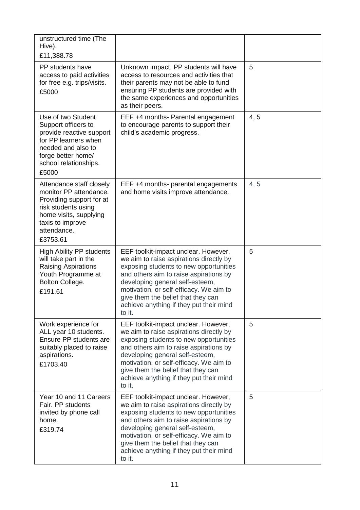| unstructured time (The<br>Hive).<br>£11,388.78                                                                                                                                 |                                                                                                                                                                                                                                                                                                                                              |      |
|--------------------------------------------------------------------------------------------------------------------------------------------------------------------------------|----------------------------------------------------------------------------------------------------------------------------------------------------------------------------------------------------------------------------------------------------------------------------------------------------------------------------------------------|------|
| PP students have<br>access to paid activities<br>for free e.g. trips/visits.<br>£5000                                                                                          | Unknown impact. PP students will have<br>access to resources and activities that<br>their parents may not be able to fund<br>ensuring PP students are provided with<br>the same experiences and opportunities<br>as their peers.                                                                                                             | 5    |
| Use of two Student<br>Support officers to<br>provide reactive support<br>for PP learners when<br>needed and also to<br>forge better home/<br>school relationships.<br>£5000    | EEF +4 months- Parental engagement<br>to encourage parents to support their<br>child's academic progress.                                                                                                                                                                                                                                    | 4, 5 |
| Attendance staff closely<br>monitor PP attendance.<br>Providing support for at<br>risk students using<br>home visits, supplying<br>taxis to improve<br>attendance.<br>£3753.61 | EEF +4 months- parental engagements<br>and home visits improve attendance.                                                                                                                                                                                                                                                                   | 4, 5 |
| <b>High Ability PP students</b><br>will take part in the<br><b>Raising Aspirations</b><br>Youth Programme at<br>Bolton College.<br>£191.61                                     | EEF toolkit-impact unclear. However,<br>we aim to raise aspirations directly by<br>exposing students to new opportunities<br>and others aim to raise aspirations by<br>developing general self-esteem,<br>motivation, or self-efficacy. We aim to<br>give them the belief that they can<br>achieve anything if they put their mind<br>to it. | 5    |
| Work experience for<br>ALL year 10 students.<br>Ensure PP students are<br>suitably placed to raise<br>aspirations.<br>£1703.40                                                 | EEF toolkit-impact unclear. However,<br>we aim to raise aspirations directly by<br>exposing students to new opportunities<br>and others aim to raise aspirations by<br>developing general self-esteem,<br>motivation, or self-efficacy. We aim to<br>give them the belief that they can<br>achieve anything if they put their mind<br>to it. | 5    |
| Year 10 and 11 Careers<br>Fair, PP students<br>invited by phone call<br>home.<br>£319.74                                                                                       | EEF toolkit-impact unclear. However,<br>we aim to raise aspirations directly by<br>exposing students to new opportunities<br>and others aim to raise aspirations by<br>developing general self-esteem,<br>motivation, or self-efficacy. We aim to<br>give them the belief that they can<br>achieve anything if they put their mind<br>to it. | 5    |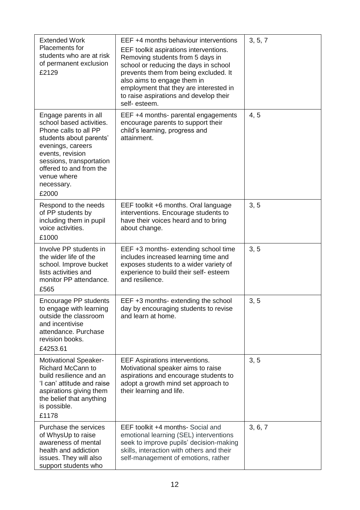| <b>Extended Work</b><br>Placements for<br>students who are at risk<br>of permanent exclusion<br>£2129                                                                                                                                       | EEF +4 months behaviour interventions<br>EEF toolkit aspirations interventions.<br>Removing students from 5 days in<br>school or reducing the days in school<br>prevents them from being excluded. It<br>also aims to engage them in<br>employment that they are interested in<br>to raise aspirations and develop their<br>self-esteem. | 3, 5, 7 |
|---------------------------------------------------------------------------------------------------------------------------------------------------------------------------------------------------------------------------------------------|------------------------------------------------------------------------------------------------------------------------------------------------------------------------------------------------------------------------------------------------------------------------------------------------------------------------------------------|---------|
| Engage parents in all<br>school based activities.<br>Phone calls to all PP<br>students about parents'<br>evenings, careers<br>events, revision<br>sessions, transportation<br>offered to and from the<br>venue where<br>necessary.<br>£2000 | EEF +4 months- parental engagements<br>encourage parents to support their<br>child's learning, progress and<br>attainment.                                                                                                                                                                                                               | 4, 5    |
| Respond to the needs<br>of PP students by<br>including them in pupil<br>voice activities.<br>£1000                                                                                                                                          | EEF toolkit +6 months. Oral language<br>interventions. Encourage students to<br>have their voices heard and to bring<br>about change.                                                                                                                                                                                                    | 3, 5    |
| Involve PP students in<br>the wider life of the<br>school. Improve bucket<br>lists activities and<br>monitor PP attendance.<br>£565                                                                                                         | EEF +3 months- extending school time<br>includes increased learning time and<br>exposes students to a wider variety of<br>experience to build their self- esteem<br>and resilience.                                                                                                                                                      | 3, 5    |
| Encourage PP students<br>to engage with learning<br>outside the classroom<br>and incentivise<br>attendance. Purchase<br>revision books.<br>£4253.61                                                                                         | EEF +3 months- extending the school<br>day by encouraging students to revise<br>and learn at home.                                                                                                                                                                                                                                       | 3, 5    |
| <b>Motivational Speaker-</b><br><b>Richard McCann to</b><br>build resilience and an<br>'I can' attitude and raise<br>aspirations giving them<br>the belief that anything<br>is possible.<br>£1178                                           | <b>EEF Aspirations interventions.</b><br>Motivational speaker aims to raise<br>aspirations and encourage students to<br>adopt a growth mind set approach to<br>their learning and life.                                                                                                                                                  | 3, 5    |
| Purchase the services<br>of WhysUp to raise<br>awareness of mental<br>health and addiction<br>issues. They will also<br>support students who                                                                                                | EEF toolkit +4 months- Social and<br>emotional learning (SEL) interventions<br>seek to improve pupils' decision-making<br>skills, interaction with others and their<br>self-management of emotions, rather                                                                                                                               | 3, 6, 7 |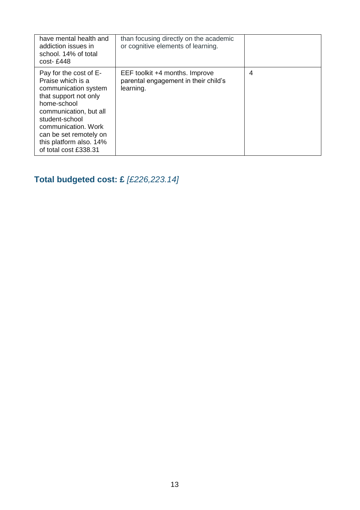| have mental health and<br>addiction issues in<br>school. 14% of total<br>$cost - £448$                                                                                                                                                                       | than focusing directly on the academic<br>or cognitive elements of learning.        |   |
|--------------------------------------------------------------------------------------------------------------------------------------------------------------------------------------------------------------------------------------------------------------|-------------------------------------------------------------------------------------|---|
| Pay for the cost of E-<br>Praise which is a<br>communication system<br>that support not only<br>home-school<br>communication, but all<br>student-school<br>communication. Work<br>can be set remotely on<br>this platform also. 14%<br>of total cost £338.31 | EEF toolkit +4 months. Improve<br>parental engagement in their child's<br>learning. | 4 |

# **Total budgeted cost: £** *[£226,223.14]*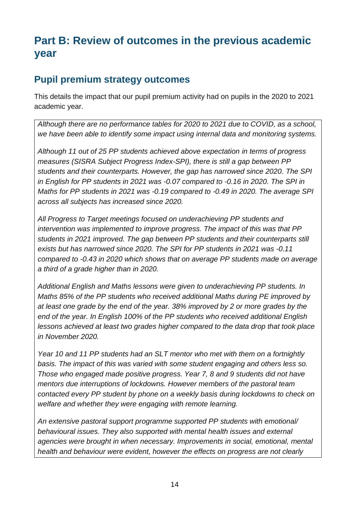# **Part B: Review of outcomes in the previous academic year**

#### **Pupil premium strategy outcomes**

This details the impact that our pupil premium activity had on pupils in the 2020 to 2021 academic year.

*Although there are no performance tables for 2020 to 2021 due to COVID, as a school, we have been able to identify some impact using internal data and monitoring systems.* 

*Although 11 out of 25 PP students achieved above expectation in terms of progress measures (SISRA Subject Progress Index-SPI), there is still a gap between PP students and their counterparts. However, the gap has narrowed since 2020. The SPI in English for PP students in 2021 was -0.07 compared to -0.16 in 2020. The SPI in Maths for PP students in 2021 was -0.19 compared to -0.49 in 2020. The average SPI across all subjects has increased since 2020.*

*All Progress to Target meetings focused on underachieving PP students and intervention was implemented to improve progress. The impact of this was that PP students in 2021 improved. The gap between PP students and their counterparts still exists but has narrowed since 2020. The SPI for PP students in 2021 was -0.11 compared to -0.43 in 2020 which shows that on average PP students made on average a third of a grade higher than in 2020.*

*Additional English and Maths lessons were given to underachieving PP students. In Maths 85% of the PP students who received additional Maths during PE improved by at least one grade by the end of the year. 38% improved by 2 or more grades by the end of the year. In English 100% of the PP students who received additional English lessons achieved at least two grades higher compared to the data drop that took place in November 2020.*

*Year 10 and 11 PP students had an SLT mentor who met with them on a fortnightly basis. The impact of this was varied with some student engaging and others less so. Those who engaged made positive progress. Year 7, 8 and 9 students did not have mentors due interruptions of lockdowns. However members of the pastoral team contacted every PP student by phone on a weekly basis during lockdowns to check on welfare and whether they were engaging with remote learning.* 

*An extensive pastoral support programme supported PP students with emotional/ behavioural issues. They also supported with mental health issues and external agencies were brought in when necessary. Improvements in social, emotional, mental health and behaviour were evident, however the effects on progress are not clearly*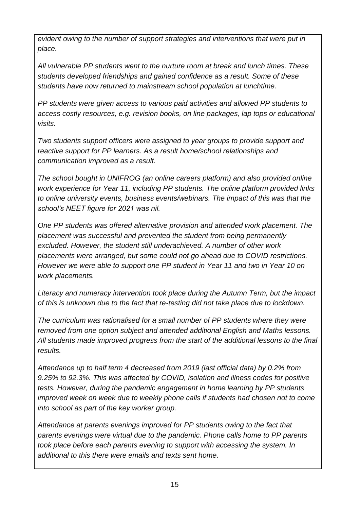*evident owing to the number of support strategies and interventions that were put in place.*

*All vulnerable PP students went to the nurture room at break and lunch times. These students developed friendships and gained confidence as a result. Some of these students have now returned to mainstream school population at lunchtime.*

*PP students were given access to various paid activities and allowed PP students to access costly resources, e.g. revision books, on line packages, lap tops or educational visits.*

*Two students support officers were assigned to year groups to provide support and reactive support for PP learners. As a result home/school relationships and communication improved as a result.*

*The school bought in UNIFROG (an online careers platform) and also provided online work experience for Year 11, including PP students. The online platform provided links to online university events, business events/webinars. The impact of this was that the school's NEET figure for 2021 was nil.*

*One PP students was offered alternative provision and attended work placement. The placement was successful and prevented the student from being permanently excluded. However, the student still underachieved. A number of other work placements were arranged, but some could not go ahead due to COVID restrictions. However we were able to support one PP student in Year 11 and two in Year 10 on work placements.*

*Literacy and numeracy intervention took place during the Autumn Term, but the impact of this is unknown due to the fact that re-testing did not take place due to lockdown.*

*The curriculum was rationalised for a small number of PP students where they were removed from one option subject and attended additional English and Maths lessons. All students made improved progress from the start of the additional lessons to the final results.*

*Attendance up to half term 4 decreased from 2019 (last official data) by 0.2% from 9.25% to 92.3%. This was affected by COVID, isolation and illness codes for positive tests. However, during the pandemic engagement in home learning by PP students improved week on week due to weekly phone calls if students had chosen not to come into school as part of the key worker group.*

*Attendance at parents evenings improved for PP students owing to the fact that parents evenings were virtual due to the pandemic. Phone calls home to PP parents took place before each parents evening to support with accessing the system. In additional to this there were emails and texts sent home.*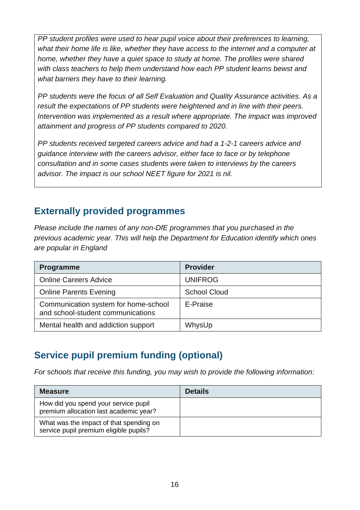*PP student profiles were used to hear pupil voice about their preferences to learning, what their home life is like, whether they have access to the internet and a computer at home, whether they have a quiet space to study at home. The profiles were shared with class teachers to help them understand how each PP student learns bewst and what barriers they have to their learning.*

*PP students were the focus of all Self Evaluation and Quality Assurance activities. As a result the expectations of PP students were heightened and in line with their peers. Intervention was implemented as a result where appropriate. The impact was improved attainment and progress of PP students compared to 2020.*

*PP students received targeted careers advice and had a 1-2-1 careers advice and guidance interview with the careers advisor, either face to face or by telephone consultation and in some cases students were taken to interviews by the careers advisor. The impact is our school NEET figure for 2021 is nil.*

#### **Externally provided programmes**

*Please include the names of any non-DfE programmes that you purchased in the previous academic year. This will help the Department for Education identify which ones are popular in England*

| Programme                                                                 | <b>Provider</b>     |
|---------------------------------------------------------------------------|---------------------|
| <b>Online Careers Advice</b>                                              | <b>UNIFROG</b>      |
| <b>Online Parents Evening</b>                                             | <b>School Cloud</b> |
| Communication system for home-school<br>and school-student communications | E-Praise            |
| Mental health and addiction support                                       | WhysUp              |

## **Service pupil premium funding (optional)**

*For schools that receive this funding, you may wish to provide the following information:* 

| <b>Measure</b>                                                                    | <b>Details</b> |
|-----------------------------------------------------------------------------------|----------------|
| How did you spend your service pupil<br>premium allocation last academic year?    |                |
| What was the impact of that spending on<br>service pupil premium eligible pupils? |                |